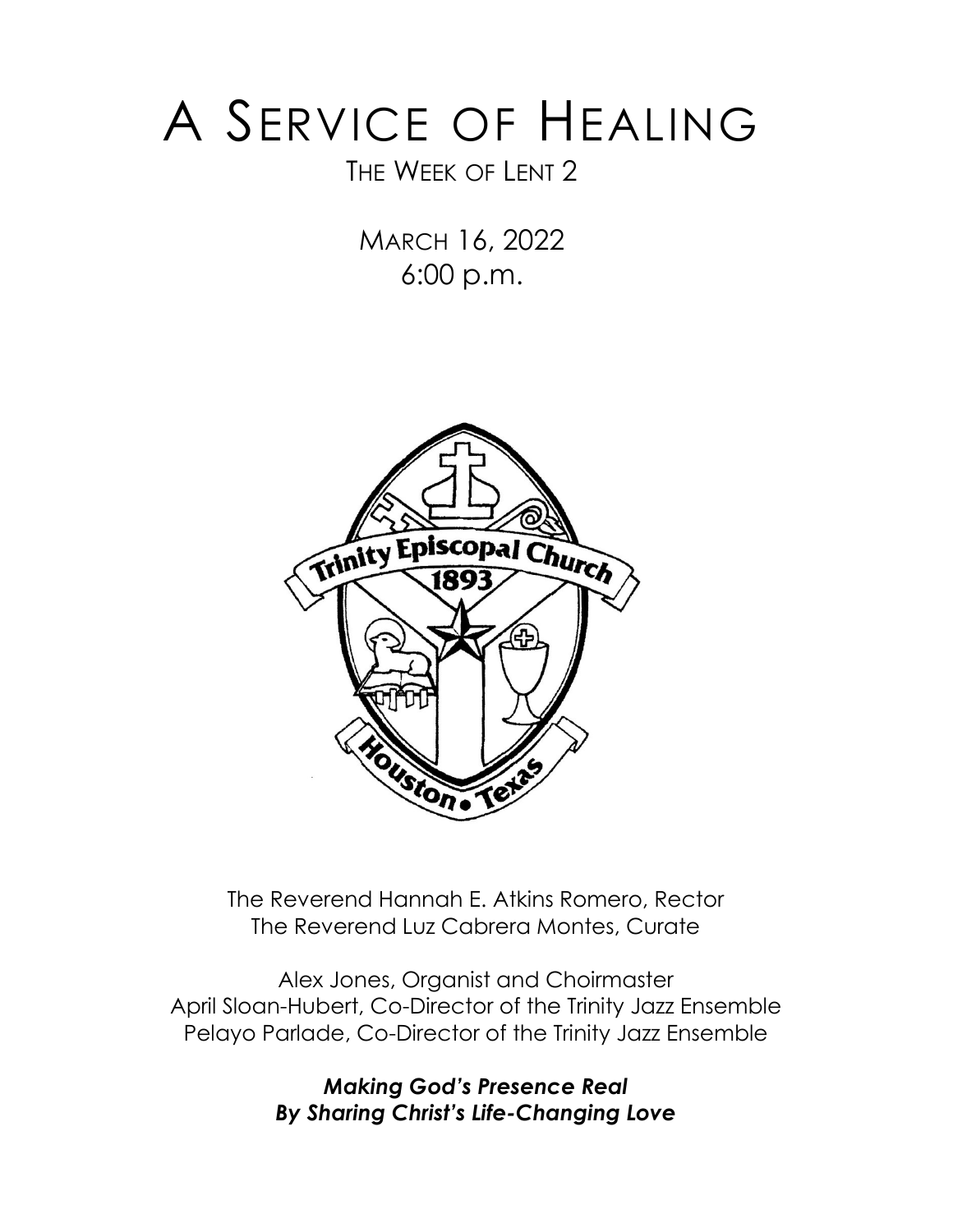# A SERVICE OF HEALING

# THE WEEK OF LENT 2

MARCH 16, 2022 6:00 p.m.



The Reverend Hannah E. Atkins Romero, Rector The Reverend Luz Cabrera Montes, Curate

Alex Jones, Organist and Choirmaster April Sloan-Hubert, Co-Director of the Trinity Jazz Ensemble Pelayo Parlade, Co-Director of the Trinity Jazz Ensemble

> *Making God's Presence Real By Sharing Christ's Life-Changing Love*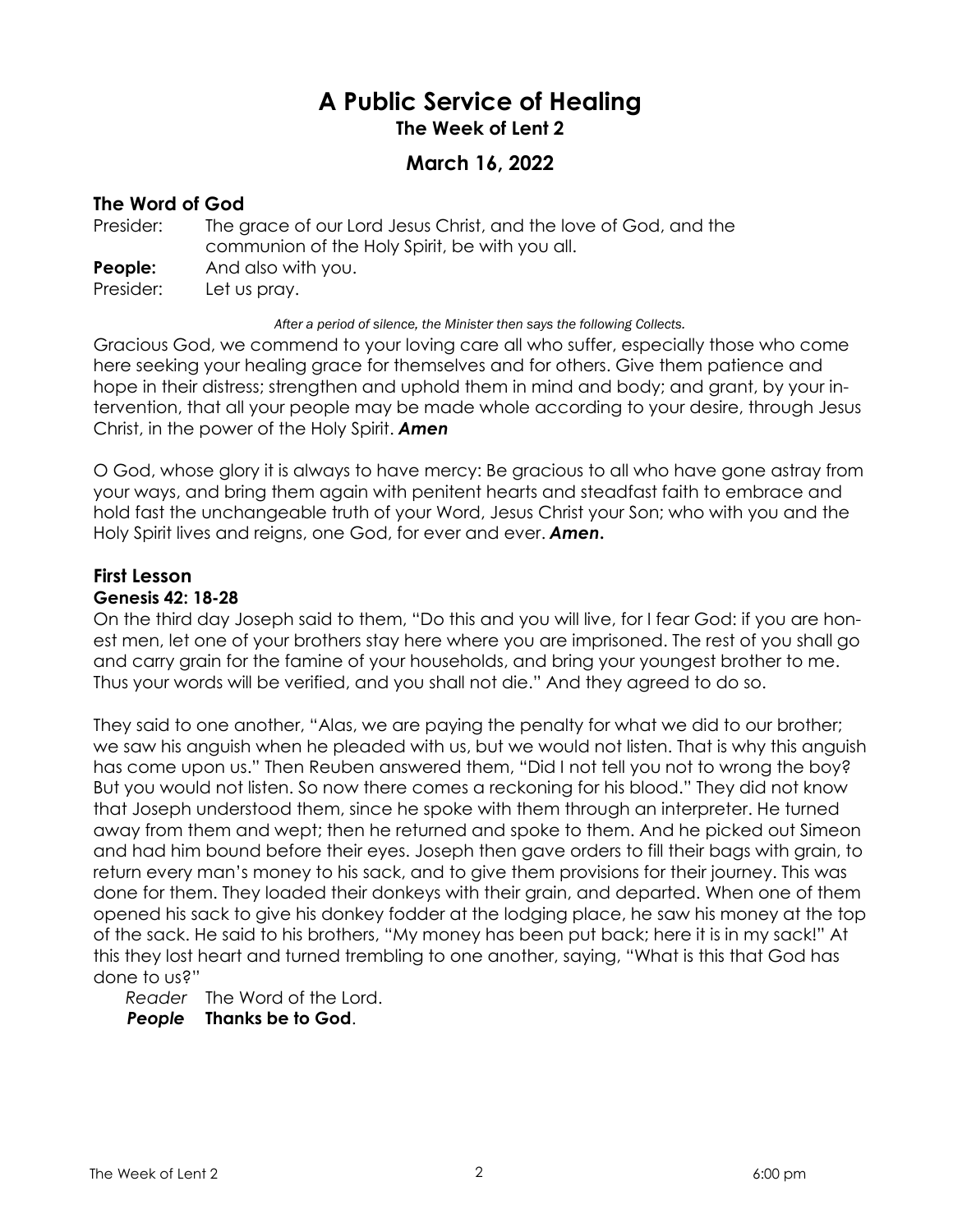# **A Public Service of Healing The Week of Lent 2**

# **March 16, 2022**

#### **The Word of God**

| The grace of our Lord Jesus Christ, and the love of God, and the |
|------------------------------------------------------------------|
| communion of the Holy Spirit, be with you all.                   |
| And also with you.                                               |
| Let us prav.                                                     |
|                                                                  |

*After a period of silence, the Minister then says the following Collects.*

Gracious God, we commend to your loving care all who suffer, especially those who come here seeking your healing grace for themselves and for others. Give them patience and hope in their distress; strengthen and uphold them in mind and body; and grant, by your intervention, that all your people may be made whole according to your desire, through Jesus Christ, in the power of the Holy Spirit. *Amen* 

O God, whose glory it is always to have mercy: Be gracious to all who have gone astray from your ways, and bring them again with penitent hearts and steadfast faith to embrace and hold fast the unchangeable truth of your Word, Jesus Christ your Son; who with you and the Holy Spirit lives and reigns, one God, for ever and ever. *Amen***.**

#### **First Lesson**

#### **Genesis 42: 18-28**

On the third day Joseph said to them, "Do this and you will live, for I fear God: if you are honest men, let one of your brothers stay here where you are imprisoned. The rest of you shall go and carry grain for the famine of your households, and bring your youngest brother to me. Thus your words will be verified, and you shall not die." And they agreed to do so.

They said to one another, "Alas, we are paying the penalty for what we did to our brother; we saw his anguish when he pleaded with us, but we would not listen. That is why this anguish has come upon us." Then Reuben answered them, "Did I not tell you not to wrong the boy? But you would not listen. So now there comes a reckoning for his blood." They did not know that Joseph understood them, since he spoke with them through an interpreter. He turned away from them and wept; then he returned and spoke to them. And he picked out Simeon and had him bound before their eyes. Joseph then gave orders to fill their bags with grain, to return every man's money to his sack, and to give them provisions for their journey. This was done for them. They loaded their donkeys with their grain, and departed. When one of them opened his sack to give his donkey fodder at the lodging place, he saw his money at the top of the sack. He said to his brothers, "My money has been put back; here it is in my sack!" At this they lost heart and turned trembling to one another, saying, "What is this that God has done to us?"

 *Reader* The Word of the Lord.

#### *People* **Thanks be to God**.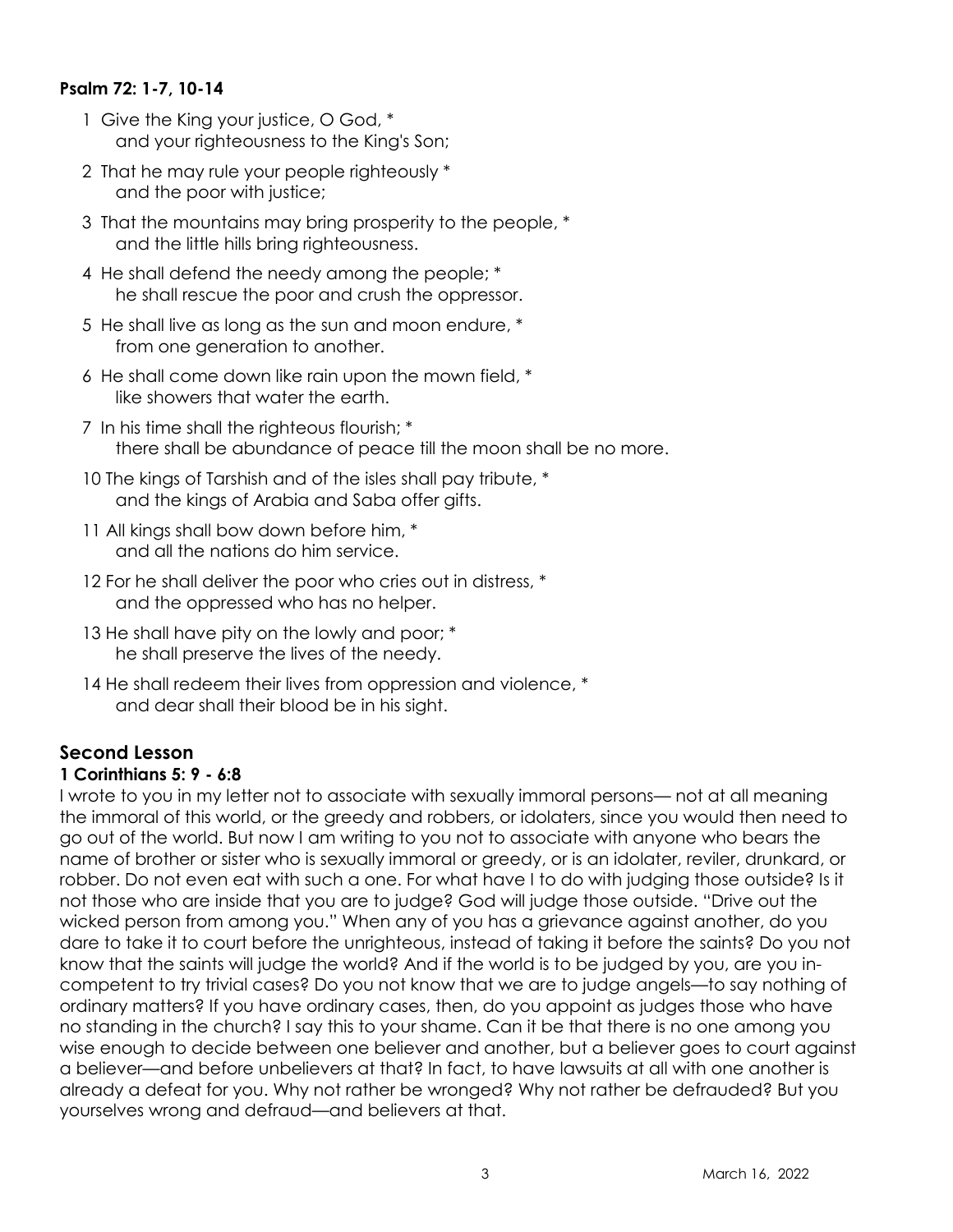#### **Psalm 72: 1-7, 10-14**

- 1 Give the King your justice, O God, \* and your righteousness to the King's Son;
- 2 That he may rule your people righteously \* and the poor with justice;
- 3 That the mountains may bring prosperity to the people, \* and the little hills bring righteousness.
- 4 He shall defend the needy among the people; \* he shall rescue the poor and crush the oppressor.
- 5 He shall live as long as the sun and moon endure, \* from one generation to another.
- 6 He shall come down like rain upon the mown field, \* like showers that water the earth.
- 7 In his time shall the righteous flourish; \* there shall be abundance of peace till the moon shall be no more.
- 10 The kings of Tarshish and of the isles shall pay tribute, \* and the kings of Arabia and Saba offer gifts.
- 11 All kings shall bow down before him, \* and all the nations do him service.
- 12 For he shall deliver the poor who cries out in distress, \* and the oppressed who has no helper.
- 13 He shall have pity on the lowly and poor; \* he shall preserve the lives of the needy.
- 14 He shall redeem their lives from oppression and violence, \* and dear shall their blood be in his sight.

## **Second Lesson**

#### **1 Corinthians 5: 9 - 6:8**

I wrote to you in my letter not to associate with sexually immoral persons— not at all meaning the immoral of this world, or the greedy and robbers, or idolaters, since you would then need to go out of the world. But now I am writing to you not to associate with anyone who bears the name of brother or sister who is sexually immoral or greedy, or is an idolater, reviler, drunkard, or robber. Do not even eat with such a one. For what have I to do with judging those outside? Is it not those who are inside that you are to judge? God will judge those outside. "Drive out the wicked person from among you." When any of you has a grievance against another, do you dare to take it to court before the unrighteous, instead of taking it before the saints? Do you not know that the saints will judge the world? And if the world is to be judged by you, are you incompetent to try trivial cases? Do you not know that we are to judge angels—to say nothing of ordinary matters? If you have ordinary cases, then, do you appoint as judges those who have no standing in the church? I say this to your shame. Can it be that there is no one among you wise enough to decide between one believer and another, but a believer goes to court against a believer—and before unbelievers at that? In fact, to have lawsuits at all with one another is already a defeat for you. Why not rather be wronged? Why not rather be defrauded? But you yourselves wrong and defraud—and believers at that.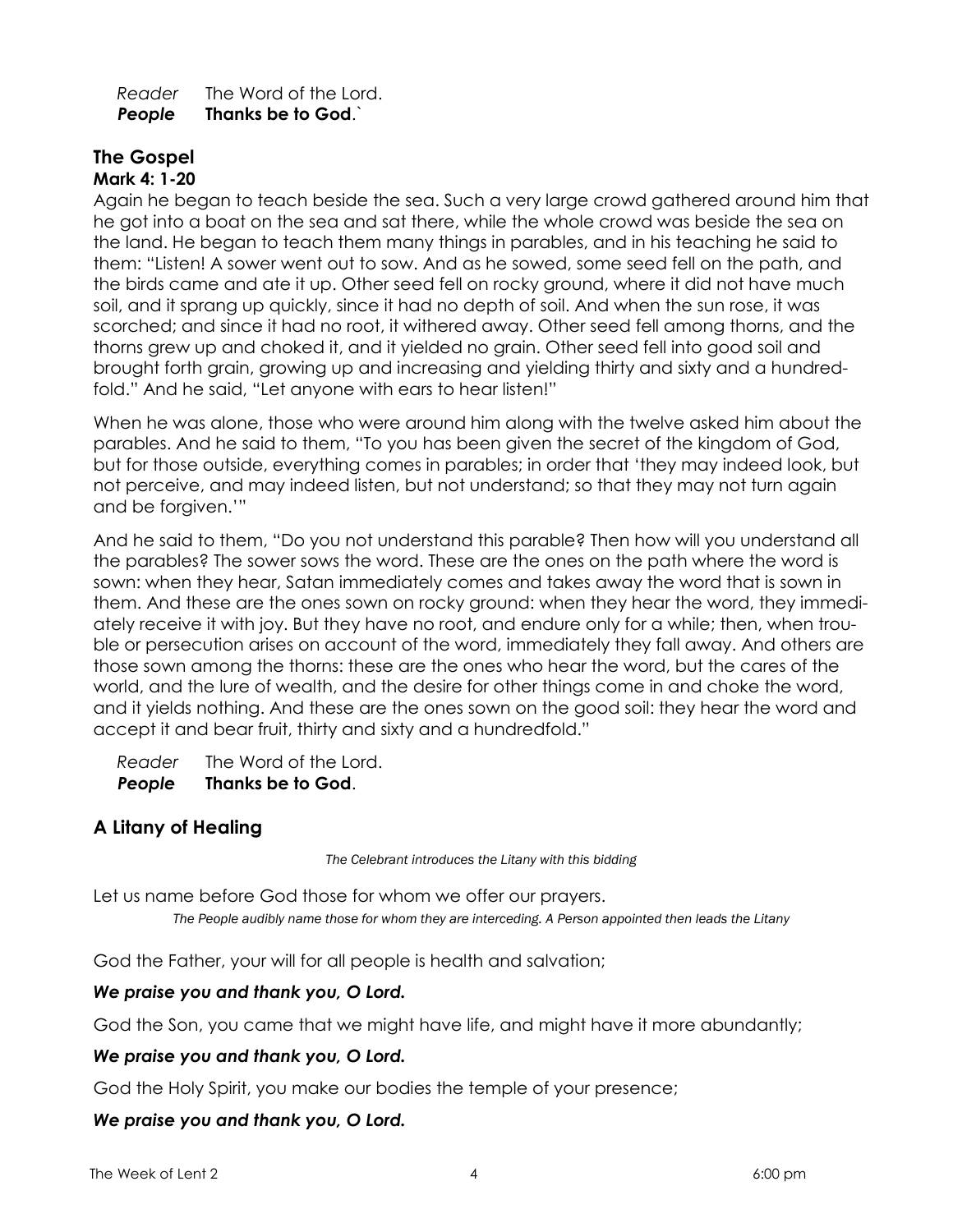*Reader* The Word of the Lord.  *People* **Thanks be to God**.`

# **The Gospel**

# **Mark 4: 1-20**

Again he began to teach beside the sea. Such a very large crowd gathered around him that he got into a boat on the sea and sat there, while the whole crowd was beside the sea on the land. He began to teach them many things in parables, and in his teaching he said to them: "Listen! A sower went out to sow. And as he sowed, some seed fell on the path, and the birds came and ate it up. Other seed fell on rocky ground, where it did not have much soil, and it sprang up quickly, since it had no depth of soil. And when the sun rose, it was scorched; and since it had no root, it withered away. Other seed fell among thorns, and the thorns grew up and choked it, and it yielded no grain. Other seed fell into good soil and brought forth grain, growing up and increasing and yielding thirty and sixty and a hundredfold." And he said, "Let anyone with ears to hear listen!"

When he was alone, those who were around him along with the twelve asked him about the parables. And he said to them, "To you has been given the secret of the kingdom of God, but for those outside, everything comes in parables; in order that 'they may indeed look, but not perceive, and may indeed listen, but not understand; so that they may not turn again and be forgiven.'"

And he said to them, "Do you not understand this parable? Then how will you understand all the parables? The sower sows the word. These are the ones on the path where the word is sown: when they hear, Satan immediately comes and takes away the word that is sown in them. And these are the ones sown on rocky ground: when they hear the word, they immediately receive it with joy. But they have no root, and endure only for a while; then, when trouble or persecution arises on account of the word, immediately they fall away. And others are those sown among the thorns: these are the ones who hear the word, but the cares of the world, and the lure of wealth, and the desire for other things come in and choke the word, and it yields nothing. And these are the ones sown on the good soil: they hear the word and accept it and bear fruit, thirty and sixty and a hundredfold."

 *Reader* The Word of the Lord.  *People* **Thanks be to God**.

## **A Litany of Healing**

*The Celebrant introduces the Litany with this bidding* 

Let us name before God those for whom we offer our prayers. *The People audibly name those for whom they are interceding. A Person appointed then leads the Litany*

God the Father, your will for all people is health and salvation;

#### *We praise you and thank you, O Lord.*

God the Son, you came that we might have life, and might have it more abundantly;

#### *We praise you and thank you, O Lord.*

God the Holy Spirit, you make our bodies the temple of your presence;

#### *We praise you and thank you, O Lord.*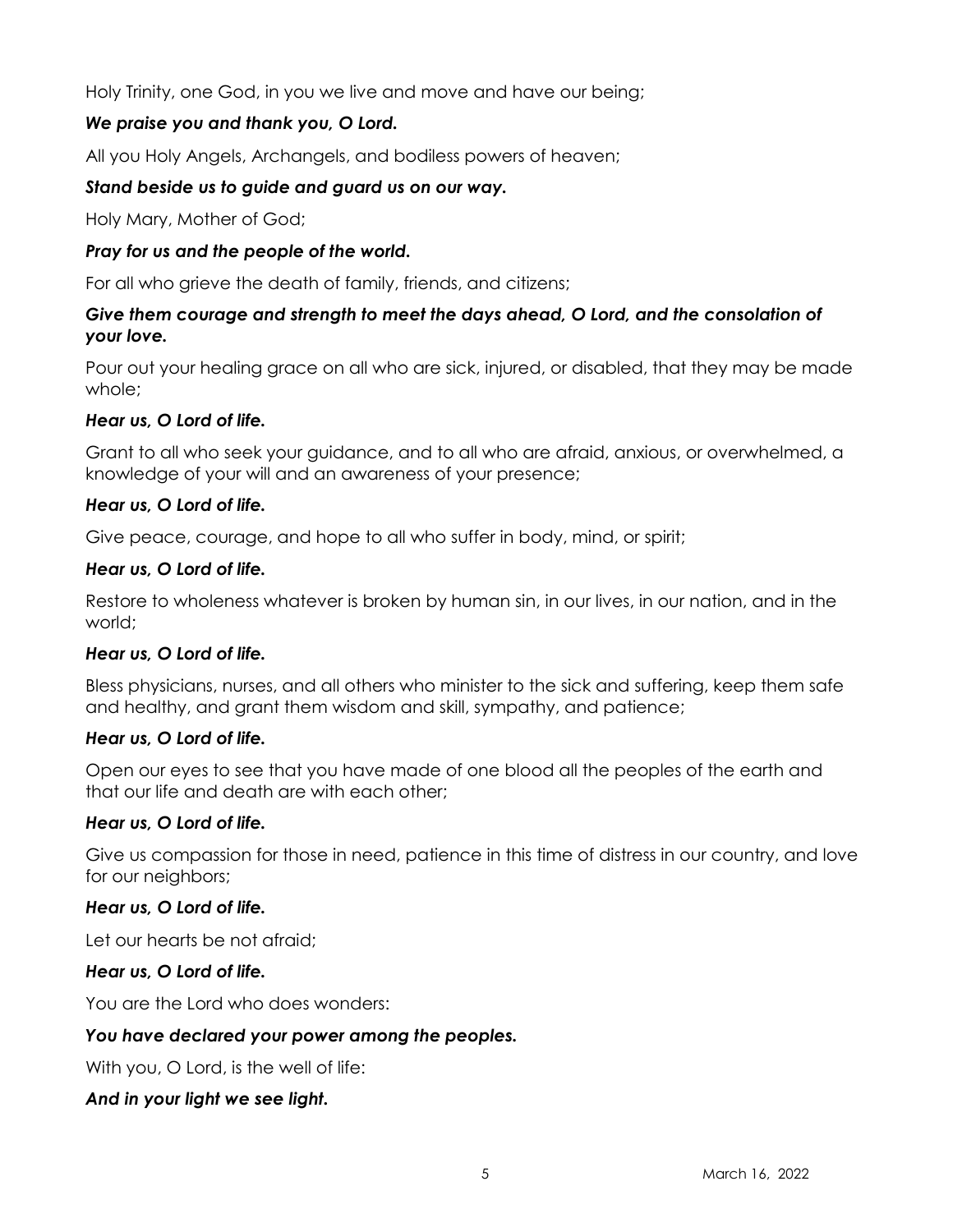Holy Trinity, one God, in you we live and move and have our being;

#### *We praise you and thank you, O Lord.*

All you Holy Angels, Archangels, and bodiless powers of heaven;

#### *Stand beside us to guide and guard us on our way.*

Holy Mary, Mother of God;

#### *Pray for us and the people of the world.*

For all who grieve the death of family, friends, and citizens;

#### *Give them courage and strength to meet the days ahead, O Lord, and the consolation of your love.*

Pour out your healing grace on all who are sick, injured, or disabled, that they may be made whole;

#### *Hear us, O Lord of life.*

Grant to all who seek your guidance, and to all who are afraid, anxious, or overwhelmed, a knowledge of your will and an awareness of your presence;

#### *Hear us, O Lord of life.*

Give peace, courage, and hope to all who suffer in body, mind, or spirit;

#### *Hear us, O Lord of life.*

Restore to wholeness whatever is broken by human sin, in our lives, in our nation, and in the world;

#### *Hear us, O Lord of life.*

Bless physicians, nurses, and all others who minister to the sick and suffering, keep them safe and healthy, and grant them wisdom and skill, sympathy, and patience;

#### *Hear us, O Lord of life.*

Open our eyes to see that you have made of one blood all the peoples of the earth and that our life and death are with each other;

#### *Hear us, O Lord of life.*

Give us compassion for those in need, patience in this time of distress in our country, and love for our neighbors;

#### *Hear us, O Lord of life.*

Let our hearts be not afraid;

#### *Hear us, O Lord of life.*

You are the Lord who does wonders:

#### *You have declared your power among the peoples.*

With you, O Lord, is the well of life:

#### *And in your light we see light.*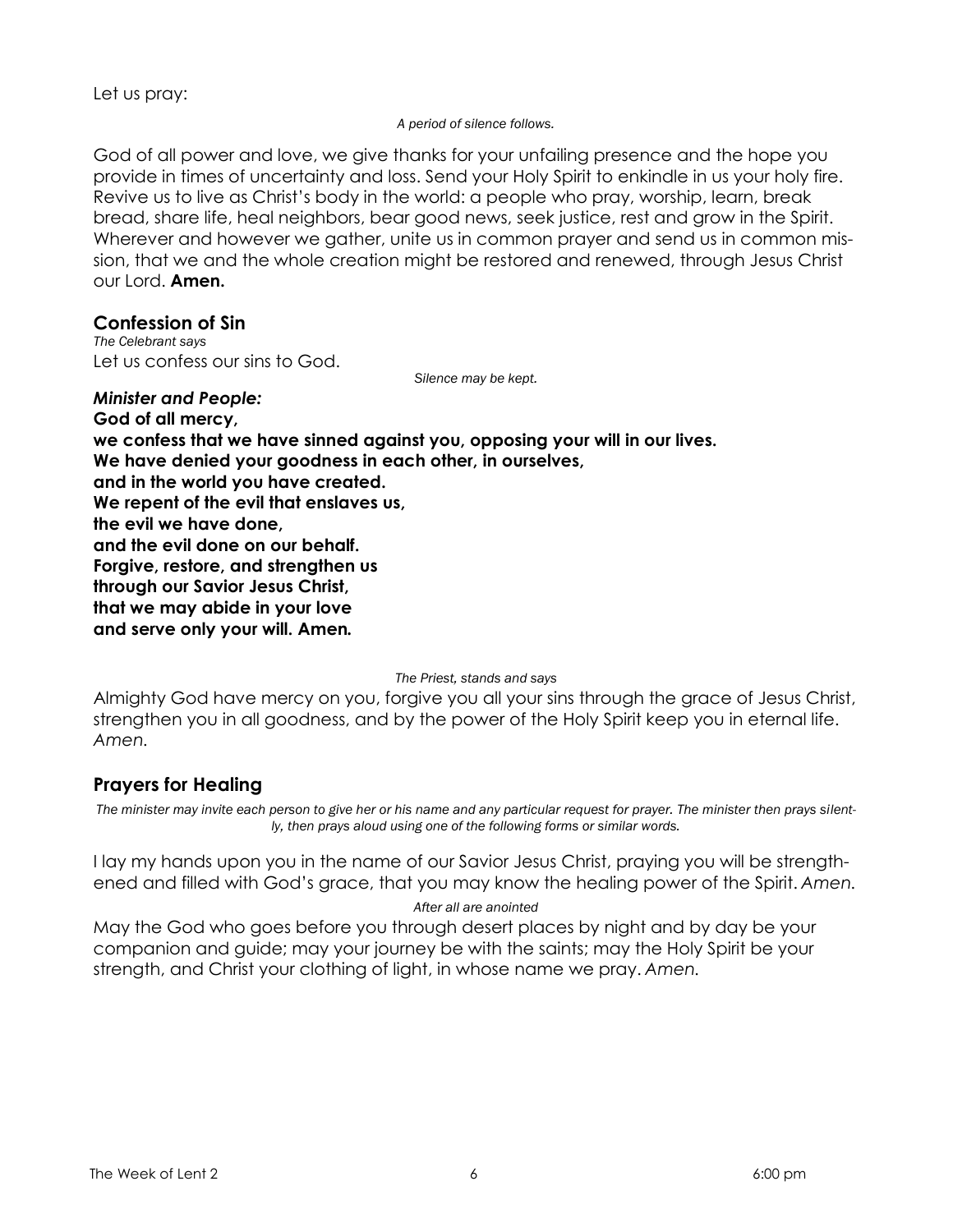Let us pray:

#### *A period of silence follows.*

God of all power and love, we give thanks for your unfailing presence and the hope you provide in times of uncertainty and loss. Send your Holy Spirit to enkindle in us your holy fire. Revive us to live as Christ's body in the world: a people who pray, worship, learn, break bread, share life, heal neighbors, bear good news, seek justice, rest and grow in the Spirit. Wherever and however we gather, unite us in common prayer and send us in common mission, that we and the whole creation might be restored and renewed, through Jesus Christ our Lord. **Amen.**

#### **Confession of Sin**

*The Celebrant says*  Let us confess our sins to God.

*Silence may be kept.* 

*Minister and People:*  **God of all mercy, we confess that we have sinned against you, opposing your will in our lives. We have denied your goodness in each other, in ourselves, and in the world you have created. We repent of the evil that enslaves us, the evil we have done, and the evil done on our behalf. Forgive, restore, and strengthen us through our Savior Jesus Christ, that we may abide in your love and serve only your will. Amen***.* 

*The Priest, stands and says* 

Almighty God have mercy on you, forgive you all your sins through the grace of Jesus Christ, strengthen you in all goodness, and by the power of the Holy Spirit keep you in eternal life. *Amen.* 

## **Prayers for Healing**

*The minister may invite each person to give her or his name and any particular request for prayer. The minister then prays silently, then prays aloud using one of the following forms or similar words.* 

I lay my hands upon you in the name of our Savior Jesus Christ, praying you will be strengthened and filled with God's grace, that you may know the healing power of the Spirit. *Amen.* 

#### *After all are anointed*

May the God who goes before you through desert places by night and by day be your companion and guide; may your journey be with the saints; may the Holy Spirit be your strength, and Christ your clothing of light, in whose name we pray. *Amen.*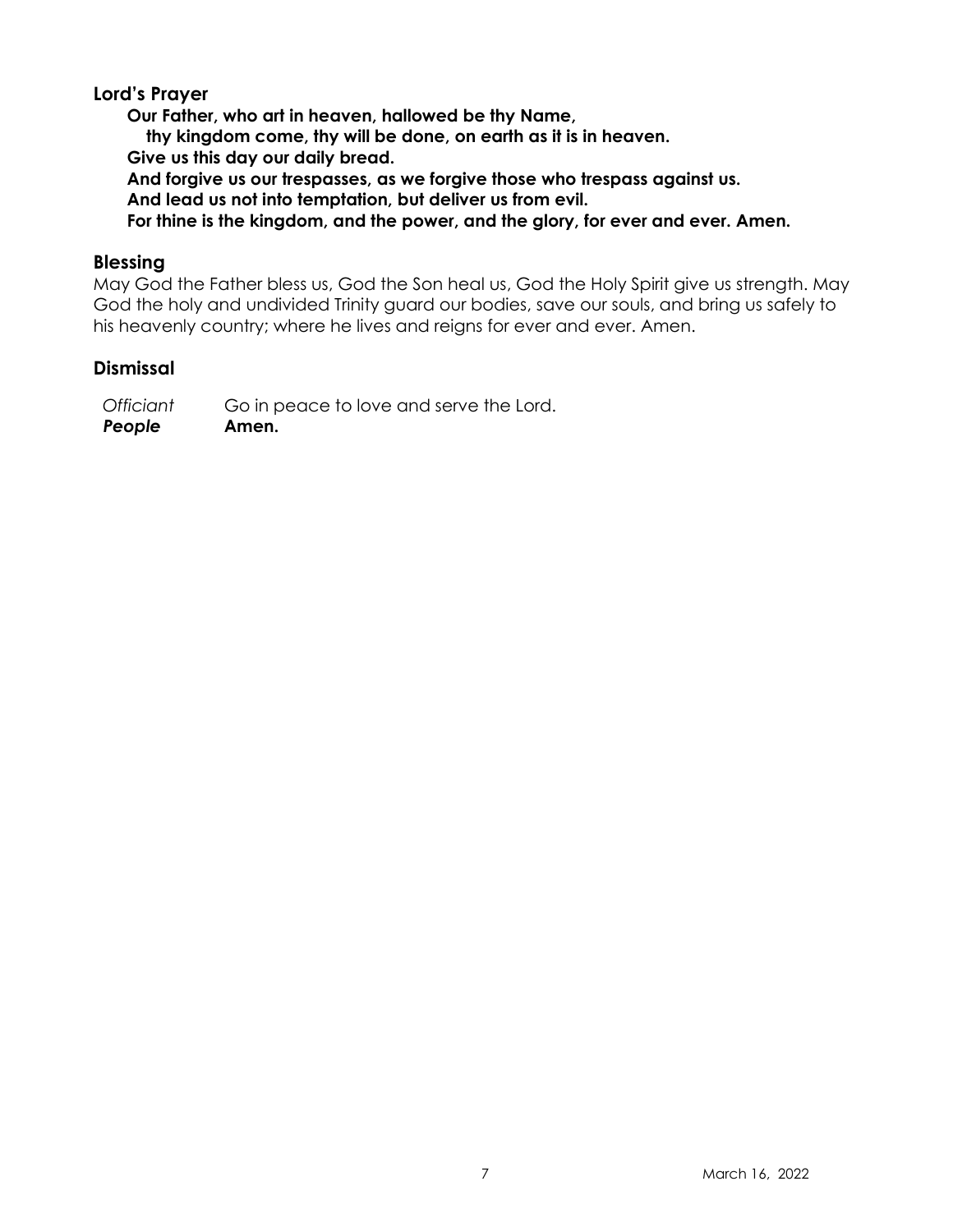#### **Lord's Prayer**

**Our Father, who art in heaven, hallowed be thy Name, thy kingdom come, thy will be done, on earth as it is in heaven. Give us this day our daily bread. And forgive us our trespasses, as we forgive those who trespass against us. And lead us not into temptation, but deliver us from evil. For thine is the kingdom, and the power, and the glory, for ever and ever. Amen.** 

#### **Blessing**

May God the Father bless us, God the Son heal us, God the Holy Spirit give us strength. May God the holy and undivided Trinity guard our bodies, save our souls, and bring us safely to his heavenly country; where he lives and reigns for ever and ever. Amen.

#### **Dismissal**

 *Officiant* Go in peace to love and serve the Lord.  *People* **Amen.**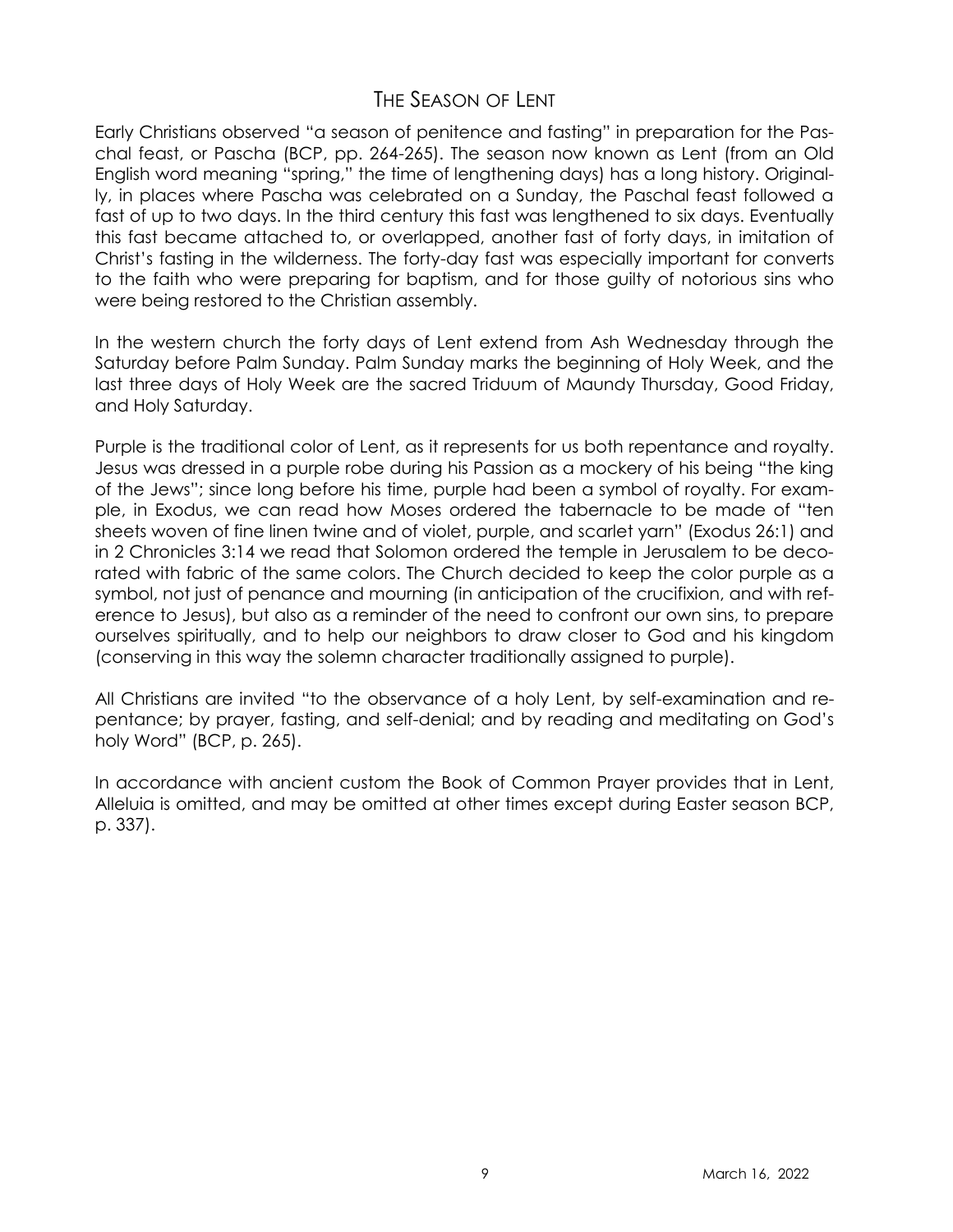# THE SEASON OF LENT

Early Christians observed "a season of penitence and fasting" in preparation for the Paschal feast, or Pascha (BCP, pp. 264-265). The season now known as Lent (from an Old English word meaning "spring," the time of lengthening days) has a long history. Originally, in places where Pascha was celebrated on a Sunday, the Paschal feast followed a fast of up to two days. In the third century this fast was lengthened to six days. Eventually this fast became attached to, or overlapped, another fast of forty days, in imitation of Christ's fasting in the wilderness. The forty-day fast was especially important for converts to the faith who were preparing for baptism, and for those guilty of notorious sins who were being restored to the Christian assembly.

In the western church the forty days of Lent extend from Ash Wednesday through the Saturday before Palm Sunday. Palm Sunday marks the beginning of Holy Week, and the last three days of Holy Week are the sacred Triduum of Maundy Thursday, Good Friday, and Holy Saturday.

Purple is the traditional color of Lent, as it represents for us both repentance and royalty. Jesus was dressed in a purple robe during his Passion as a mockery of his being "the king of the Jews"; since long before his time, purple had been a symbol of royalty. For example, in Exodus, we can read how Moses ordered the tabernacle to be made of "ten sheets woven of fine linen twine and of violet, purple, and scarlet yarn" (Exodus 26:1) and in 2 Chronicles 3:14 we read that Solomon ordered the temple in Jerusalem to be decorated with fabric of the same colors. The Church decided to keep the color purple as a symbol, not just of penance and mourning (in anticipation of the crucifixion, and with reference to Jesus), but also as a reminder of the need to confront our own sins, to prepare ourselves spiritually, and to help our neighbors to draw closer to God and his kingdom (conserving in this way the solemn character traditionally assigned to purple).

All Christians are invited "to the observance of a holy Lent, by self-examination and repentance; by prayer, fasting, and self-denial; and by reading and meditating on God's holy Word" (BCP, p. 265).

In accordance with ancient custom the Book of Common Prayer provides that in Lent, Alleluia is omitted, and may be omitted at other times except during Easter season BCP, p. 337).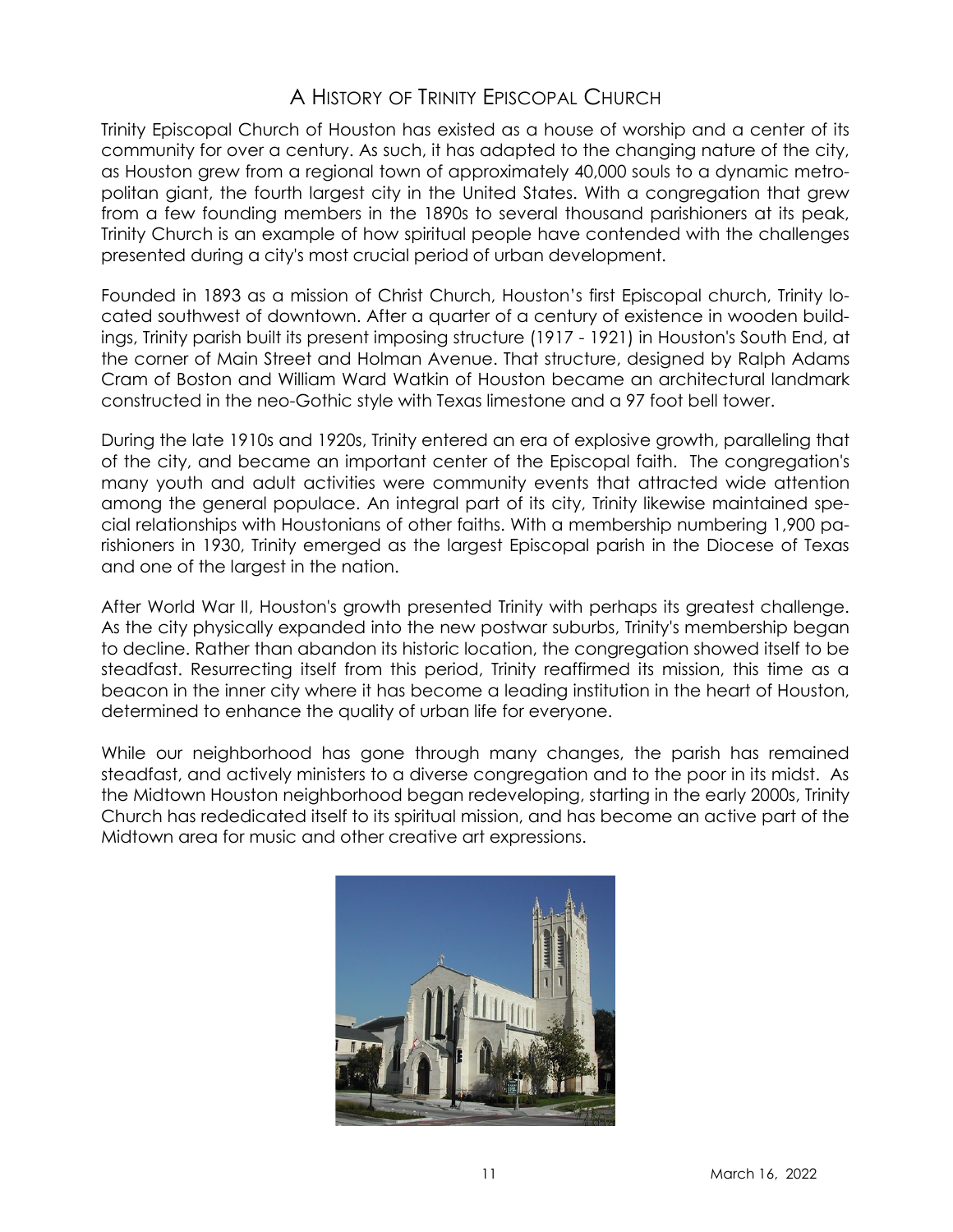# A HISTORY OF TRINITY EPISCOPAL CHURCH

Trinity Episcopal Church of Houston has existed as a house of worship and a center of its community for over a century. As such, it has adapted to the changing nature of the city, as Houston grew from a regional town of approximately 40,000 souls to a dynamic metropolitan giant, the fourth largest city in the United States. With a congregation that grew from a few founding members in the 1890s to several thousand parishioners at its peak, Trinity Church is an example of how spiritual people have contended with the challenges presented during a city's most crucial period of urban development.

Founded in 1893 as a mission of Christ Church, Houston's first Episcopal church, Trinity located southwest of downtown. After a quarter of a century of existence in wooden buildings, Trinity parish built its present imposing structure (1917 - 1921) in Houston's South End, at the corner of Main Street and Holman Avenue. That structure, designed by Ralph Adams Cram of Boston and William Ward Watkin of Houston became an architectural landmark constructed in the neo-Gothic style with Texas limestone and a 97 foot bell tower.

During the late 1910s and 1920s, Trinity entered an era of explosive growth, paralleling that of the city, and became an important center of the Episcopal faith. The congregation's many youth and adult activities were community events that attracted wide attention among the general populace. An integral part of its city, Trinity likewise maintained special relationships with Houstonians of other faiths. With a membership numbering 1,900 parishioners in 1930, Trinity emerged as the largest Episcopal parish in the Diocese of Texas and one of the largest in the nation.

After World War II, Houston's growth presented Trinity with perhaps its greatest challenge. As the city physically expanded into the new postwar suburbs, Trinity's membership began to decline. Rather than abandon its historic location, the congregation showed itself to be steadfast. Resurrecting itself from this period, Trinity reaffirmed its mission, this time as a beacon in the inner city where it has become a leading institution in the heart of Houston, determined to enhance the quality of urban life for everyone.

While our neighborhood has gone through many changes, the parish has remained steadfast, and actively ministers to a diverse congregation and to the poor in its midst. As the Midtown Houston neighborhood began redeveloping, starting in the early 2000s, Trinity Church has rededicated itself to its spiritual mission, and has become an active part of the Midtown area for music and other creative art expressions.